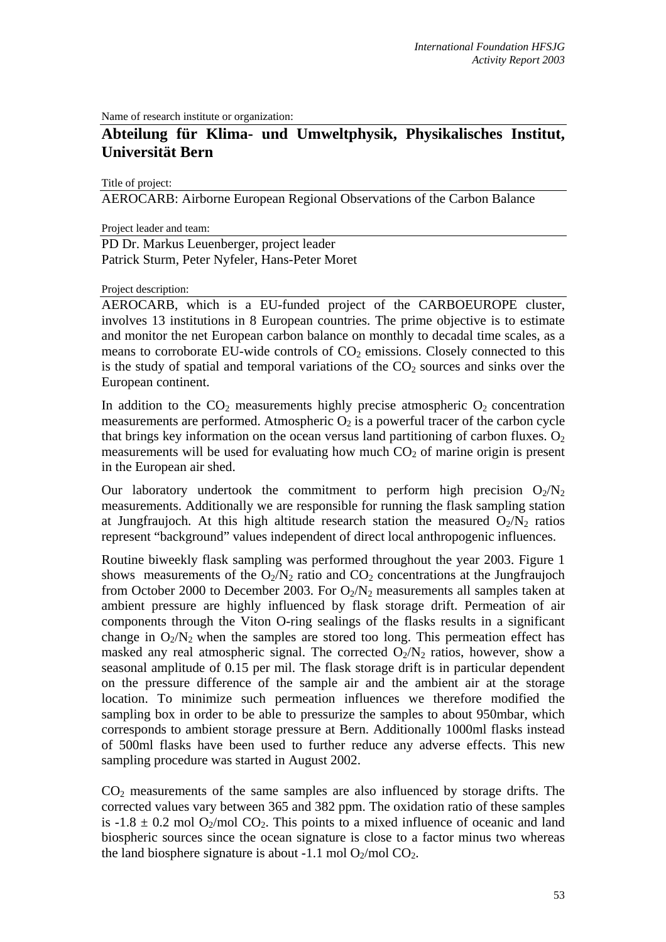Name of research institute or organization:

## **Abteilung für Klima- und Umweltphysik, Physikalisches Institut, Universität Bern**

Title of project:

AEROCARB: Airborne European Regional Observations of the Carbon Balance

Project leader and team:

PD Dr. Markus Leuenberger, project leader Patrick Sturm, Peter Nyfeler, Hans-Peter Moret

Project description:

AEROCARB, which is a EU-funded project of the CARBOEUROPE cluster, involves 13 institutions in 8 European countries. The prime objective is to estimate and monitor the net European carbon balance on monthly to decadal time scales, as a means to corroborate EU-wide controls of  $CO<sub>2</sub>$  emissions. Closely connected to this is the study of spatial and temporal variations of the  $CO<sub>2</sub>$  sources and sinks over the European continent.

In addition to the  $CO<sub>2</sub>$  measurements highly precise atmospheric  $O<sub>2</sub>$  concentration measurements are performed. Atmospheric  $O_2$  is a powerful tracer of the carbon cycle that brings key information on the ocean versus land partitioning of carbon fluxes.  $O_2$ measurements will be used for evaluating how much  $CO<sub>2</sub>$  of marine origin is present in the European air shed.

Our laboratory undertook the commitment to perform high precision  $O_2/N_2$ measurements. Additionally we are responsible for running the flask sampling station at Jungfraujoch. At this high altitude research station the measured  $O_2/N_2$  ratios represent "background" values independent of direct local anthropogenic influences.

Routine biweekly flask sampling was performed throughout the year 2003. Figure 1 shows measurements of the  $O_2/N_2$  ratio and  $CO_2$  concentrations at the Jungfraujoch from October 2000 to December 2003. For  $O_2/N_2$  measurements all samples taken at ambient pressure are highly influenced by flask storage drift. Permeation of air components through the Viton O-ring sealings of the flasks results in a significant change in  $O_2/N_2$  when the samples are stored too long. This permeation effect has masked any real atmospheric signal. The corrected  $O_2/N_2$  ratios, however, show a seasonal amplitude of 0.15 per mil. The flask storage drift is in particular dependent on the pressure difference of the sample air and the ambient air at the storage location. To minimize such permeation influences we therefore modified the sampling box in order to be able to pressurize the samples to about 950mbar, which corresponds to ambient storage pressure at Bern. Additionally 1000ml flasks instead of 500ml flasks have been used to further reduce any adverse effects. This new sampling procedure was started in August 2002.

CO2 measurements of the same samples are also influenced by storage drifts. The corrected values vary between 365 and 382 ppm. The oxidation ratio of these samples is  $-1.8 \pm 0.2$  mol O<sub>2</sub>/mol CO<sub>2</sub>. This points to a mixed influence of oceanic and land biospheric sources since the ocean signature is close to a factor minus two whereas the land biosphere signature is about -1.1 mol  $O_2$ /mol  $CO_2$ .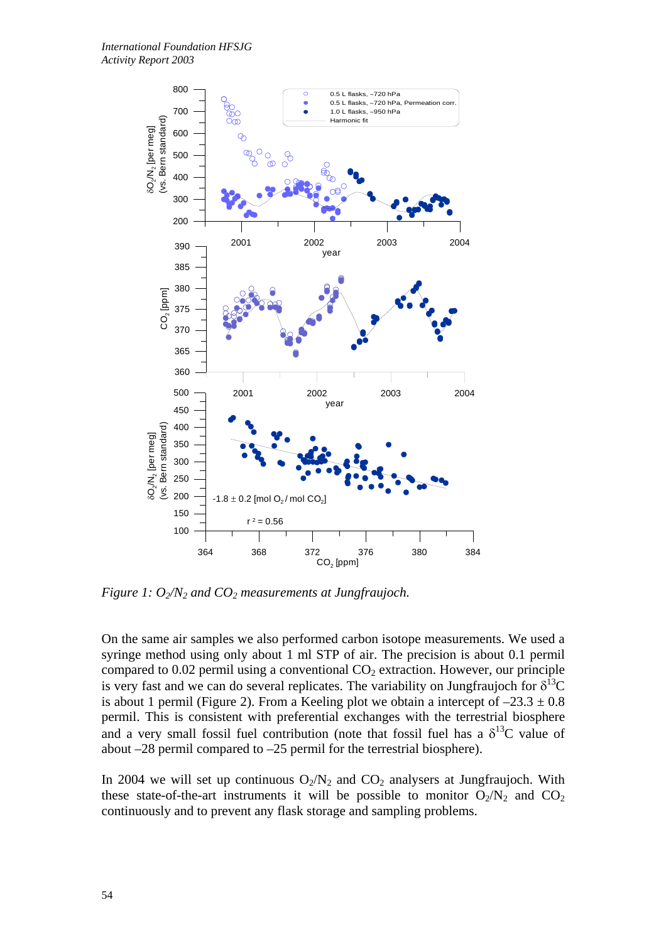

*Figure 1:*  $O_2/N_2$  and  $CO_2$  measurements at Jungfraujoch.

On the same air samples we also performed carbon isotope measurements. We used a syringe method using only about 1 ml STP of air. The precision is about 0.1 permil compared to  $0.02$  permil using a conventional  $CO<sub>2</sub>$  extraction. However, our principle is very fast and we can do several replicates. The variability on Jungfraujoch for  $\delta^{13}C$ is about 1 permil (Figure 2). From a Keeling plot we obtain a intercept of  $-23.3 \pm 0.8$ permil. This is consistent with preferential exchanges with the terrestrial biosphere and a very small fossil fuel contribution (note that fossil fuel has a  $\delta^{13}C$  value of about –28 permil compared to –25 permil for the terrestrial biosphere).

In 2004 we will set up continuous  $O_2/N_2$  and  $CO_2$  analysers at Jungfraujoch. With these state-of-the-art instruments it will be possible to monitor  $O_2/N_2$  and  $CO_2$ continuously and to prevent any flask storage and sampling problems.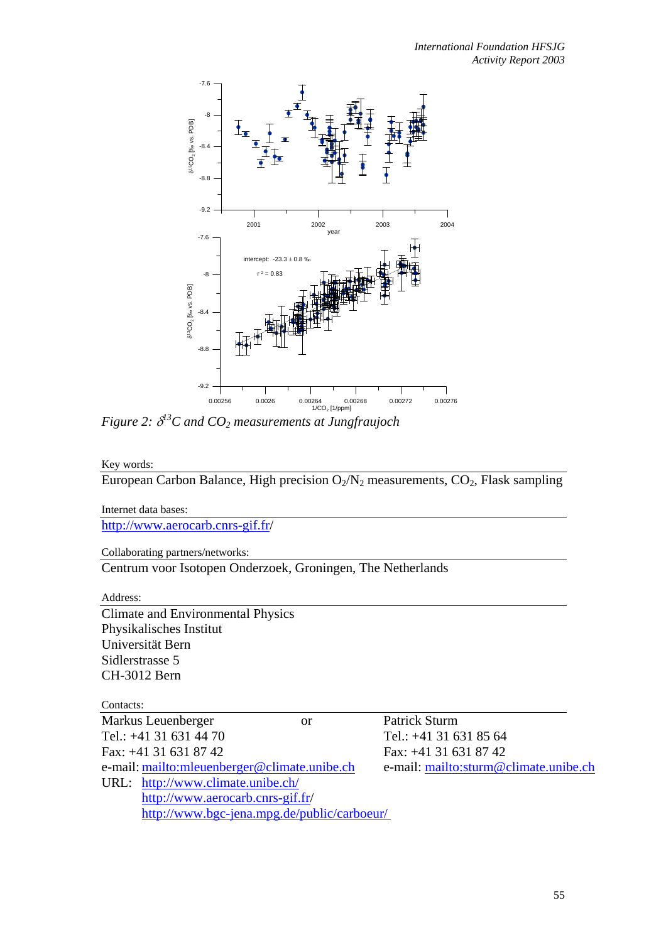

*Figure 2:* δ *13C and CO2 measurements at Jungfraujoch* 

Key words:

European Carbon Balance, High precision  $O_2/N_2$  measurements,  $CO_2$ , Flask sampling

Internet data bases: [http://www.aerocarb.cnrs-gif.fr](http://www.aerocarb.cnrs-gif.fr/)/

Collaborating partners/networks:

Centrum voor Isotopen Onderzoek, Groningen, The Netherlands

Address:

Climate and Environmental Physics Physikalisches Institut Universität Bern Sidlerstrasse 5 CH-3012 Bern

## Contacts:

| Markus Leuenberger                           | <b>or</b> | Patrick Sturm                         |
|----------------------------------------------|-----------|---------------------------------------|
| Tel.: +41 31 631 44 70                       |           | Tel.: $+41$ 31 631 85 64              |
| Fax: +41 31 631 87 42                        |           | Fax: $+41$ 31 631 87 42               |
| e-mail: mailto:mleuenberger@climate.unibe.ch |           | e-mail: mailto:sturm@climate.unibe.ch |
| URL: http://www.climate.unibe.ch/            |           |                                       |
| http://www.aerocarb.cnrs-gif.fr/             |           |                                       |
| http://www.bgc-jena.mpg.de/public/carboeur/  |           |                                       |